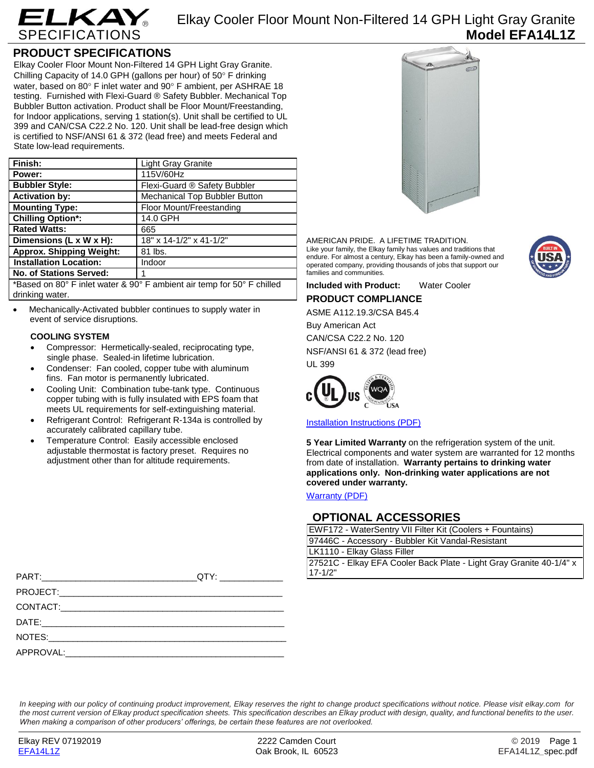

Elkay Cooler Floor Mount Non-Filtered 14 GPH Light Gray Granite **Model EFA14L1Z**

## **PRODUCT SPECIFICATIONS**

Elkay Cooler Floor Mount Non-Filtered 14 GPH Light Gray Granite. Chilling Capacity of 14.0 GPH (gallons per hour) of  $50^\circ$  F drinking water, based on 80° F inlet water and 90° F ambient, per ASHRAE 18 testing. Furnished with Flexi-Guard ® Safety Bubbler. Mechanical Top Bubbler Button activation. Product shall be Floor Mount/Freestanding, for Indoor applications, serving 1 station(s). Unit shall be certified to UL 399 and CAN/CSA C22.2 No. 120. Unit shall be lead-free design which is certified to NSF/ANSI 61 & 372 (lead free) and meets Federal and State low-lead requirements.

| Finish:                                                                                                                                                                                                                                                                                        | <b>Light Gray Granite</b>     |  |
|------------------------------------------------------------------------------------------------------------------------------------------------------------------------------------------------------------------------------------------------------------------------------------------------|-------------------------------|--|
| Power:                                                                                                                                                                                                                                                                                         | 115V/60Hz                     |  |
| <b>Bubbler Style:</b>                                                                                                                                                                                                                                                                          | Flexi-Guard ® Safety Bubbler  |  |
| <b>Activation by:</b>                                                                                                                                                                                                                                                                          | Mechanical Top Bubbler Button |  |
| <b>Mounting Type:</b>                                                                                                                                                                                                                                                                          | Floor Mount/Freestanding      |  |
| <b>Chilling Option*:</b>                                                                                                                                                                                                                                                                       | 14.0 GPH                      |  |
| <b>Rated Watts:</b>                                                                                                                                                                                                                                                                            | 665                           |  |
| Dimensions (L x W x H):                                                                                                                                                                                                                                                                        | 18" x 14-1/2" x 41-1/2"       |  |
| <b>Approx. Shipping Weight:</b>                                                                                                                                                                                                                                                                | 81 lbs.                       |  |
| <b>Installation Location:</b>                                                                                                                                                                                                                                                                  | Indoor                        |  |
| <b>No. of Stations Served:</b>                                                                                                                                                                                                                                                                 | 1                             |  |
| $\star$ , $\sim$ , $\sim$ , $\sim$ , $\sim$ , $\sim$ , $\sim$ , $\sim$ , $\sim$ , $\sim$ , $\sim$ , $\sim$ , $\sim$ , $\sim$ , $\sim$ , $\sim$ , $\sim$ , $\sim$ , $\sim$ , $\sim$ , $\sim$ , $\sim$ , $\sim$ , $\sim$ , $\sim$ , $\sim$ , $\sim$ , $\sim$ , $\sim$ , $\sim$ , $\sim$ , $\sim$ |                               |  |

\*Based on 80° F inlet water & 90° F ambient air temp for 50° F chilled drinking water.

 Mechanically-Activated bubbler continues to supply water in event of service disruptions.

### **COOLING SYSTEM**

- Compressor: Hermetically-sealed, reciprocating type, single phase. Sealed-in lifetime lubrication.
- Condenser: Fan cooled, copper tube with aluminum fins. Fan motor is permanently lubricated.
- Cooling Unit: Combination tube-tank type. Continuous copper tubing with is fully insulated with EPS foam that meets UL requirements for self-extinguishing material.
- Refrigerant Control: Refrigerant R-134a is controlled by accurately calibrated capillary tube.
- Temperature Control: Easily accessible enclosed adjustable thermostat is factory preset. Requires no adjustment other than for altitude requirements.



AMERICAN PRIDE. A LIFETIME TRADITION. Like your family, the Elkay family has values and traditions that endure. For almost a century, Elkay has been a family-owned and operated company, providing thousands of jobs that support our families and communities.



**Included with Product:** Water Cooler

**PRODUCT COMPLIANCE**

ASME A112.19.3/CSA B45.4 Buy American Act

CAN/CSA C22.2 No. 120 NSF/ANSI 61 & 372 (lead free) UL 399



[Installation Instructions \(PDF\)](http://www.elkay.com/wcsstore/lkdocs/care-cleaning-install-warranty-sheets/98695c.pdf)

**5 Year Limited Warranty** on the refrigeration system of the unit. Electrical components and water system are warranted for 12 months from date of installation. **Warranty pertains to drinking water applications only. Non-drinking water applications are not covered under warranty.**

[Warranty](http://www.elkay.com/wcsstore/lkdocs/care-cleaning-install-warranty-sheets/96993c.pdf) (PDF)

## **OPTIONAL ACCESSORIES**

| EWF172 - WaterSentry VII Filter Kit (Coolers + Fountains)           |
|---------------------------------------------------------------------|
| 97446C - Accessory - Bubbler Kit Vandal-Resistant                   |
| LK1110 - Elkay Glass Filler                                         |
| 27521C - Elkay EFA Cooler Back Plate - Light Gray Granite 40-1/4" x |
| $17 - 1/2"$                                                         |

| QTY: ______________ | $17 - 1/2"$ |
|---------------------|-------------|
|                     |             |
|                     |             |
|                     |             |
|                     |             |
|                     |             |

*In keeping with our policy of continuing product improvement, Elkay reserves the right to change product specifications without notice. Please visit elkay.com for the most current version of Elkay product specification sheets. This specification describes an Elkay product with design, quality, and functional benefits to the user. When making a comparison of other producers' offerings, be certain these features are not overlooked.*